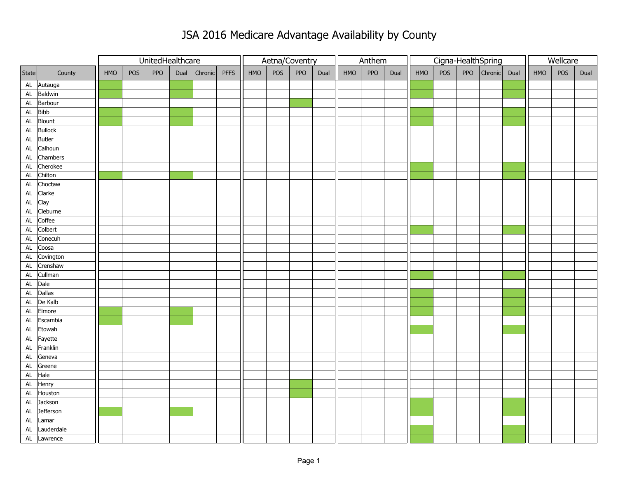## JSA 2016 Medicare Advantage Availability by County

|               |            | UnitedHealthcare |     |     |      |              |  | Aetna/Coventry |     |     |      |     | Anthem |      |     |     | Cigna-HealthSpring | Wellcare    |      |     |     |      |
|---------------|------------|------------------|-----|-----|------|--------------|--|----------------|-----|-----|------|-----|--------|------|-----|-----|--------------------|-------------|------|-----|-----|------|
| State         | County     | HMO              | POS | PPO | Dual | Chronic PFFS |  | HMO            | POS | PPO | Dual | HMO | PPO    | Dual | HMO | POS |                    | PPO Chronic | Dual | HMO | POS | Dual |
| AL            | Autauga    |                  |     |     |      |              |  |                |     |     |      |     |        |      |     |     |                    |             |      |     |     |      |
| AL            | Baldwin    |                  |     |     |      |              |  |                |     |     |      |     |        |      |     |     |                    |             |      |     |     |      |
| $\mathsf{AL}$ | Barbour    |                  |     |     |      |              |  |                |     |     |      |     |        |      |     |     |                    |             |      |     |     |      |
| $\mathsf{AL}$ | Bibb       |                  |     |     |      |              |  |                |     |     |      |     |        |      |     |     |                    |             |      |     |     |      |
| $\mathsf{AL}$ | Blount     |                  |     |     |      |              |  |                |     |     |      |     |        |      |     |     |                    |             |      |     |     |      |
| $\mathsf{AL}$ | Bullock    |                  |     |     |      |              |  |                |     |     |      |     |        |      |     |     |                    |             |      |     |     |      |
| $\mathsf{AL}$ | Butler     |                  |     |     |      |              |  |                |     |     |      |     |        |      |     |     |                    |             |      |     |     |      |
| $\mathsf{AL}$ | Calhoun    |                  |     |     |      |              |  |                |     |     |      |     |        |      |     |     |                    |             |      |     |     |      |
| $\mathsf{AL}$ | Chambers   |                  |     |     |      |              |  |                |     |     |      |     |        |      |     |     |                    |             |      |     |     |      |
| $\mathsf{AL}$ | Cherokee   |                  |     |     |      |              |  |                |     |     |      |     |        |      |     |     |                    |             |      |     |     |      |
| $\mathsf{AL}$ | Chilton    |                  |     |     |      |              |  |                |     |     |      |     |        |      |     |     |                    |             |      |     |     |      |
| $\mathsf{AL}$ | Choctaw    |                  |     |     |      |              |  |                |     |     |      |     |        |      |     |     |                    |             |      |     |     |      |
| AL            | Clarke     |                  |     |     |      |              |  |                |     |     |      |     |        |      |     |     |                    |             |      |     |     |      |
| $\mathsf{AL}$ | Clay       |                  |     |     |      |              |  |                |     |     |      |     |        |      |     |     |                    |             |      |     |     |      |
| $\mathsf{AL}$ | Cleburne   |                  |     |     |      |              |  |                |     |     |      |     |        |      |     |     |                    |             |      |     |     |      |
| $\mathsf{AL}$ | Coffee     |                  |     |     |      |              |  |                |     |     |      |     |        |      |     |     |                    |             |      |     |     |      |
| $\mathsf{AL}$ | Colbert    |                  |     |     |      |              |  |                |     |     |      |     |        |      |     |     |                    |             |      |     |     |      |
| AL            | Conecuh    |                  |     |     |      |              |  |                |     |     |      |     |        |      |     |     |                    |             |      |     |     |      |
| <b>AL</b>     | Coosa      |                  |     |     |      |              |  |                |     |     |      |     |        |      |     |     |                    |             |      |     |     |      |
| AL            | Covington  |                  |     |     |      |              |  |                |     |     |      |     |        |      |     |     |                    |             |      |     |     |      |
| $\mathsf{AL}$ | Crenshaw   |                  |     |     |      |              |  |                |     |     |      |     |        |      |     |     |                    |             |      |     |     |      |
| ${\sf AL}$    | Cullman    |                  |     |     |      |              |  |                |     |     |      |     |        |      |     |     |                    |             |      |     |     |      |
| <b>AL</b>     | Dale       |                  |     |     |      |              |  |                |     |     |      |     |        |      |     |     |                    |             |      |     |     |      |
| ${\sf AL}$    | Dallas     |                  |     |     |      |              |  |                |     |     |      |     |        |      |     |     |                    |             |      |     |     |      |
| AL            | De Kalb    |                  |     |     |      |              |  |                |     |     |      |     |        |      |     |     |                    |             |      |     |     |      |
| ${\sf AL}$    | Elmore     |                  |     |     |      |              |  |                |     |     |      |     |        |      |     |     |                    |             |      |     |     |      |
| AL            | Escambia   |                  |     |     |      |              |  |                |     |     |      |     |        |      |     |     |                    |             |      |     |     |      |
| ${\sf AL}$    | Etowah     |                  |     |     |      |              |  |                |     |     |      |     |        |      |     |     |                    |             |      |     |     |      |
| $\mathsf{AL}$ | Fayette    |                  |     |     |      |              |  |                |     |     |      |     |        |      |     |     |                    |             |      |     |     |      |
| <b>AL</b>     | Franklin   |                  |     |     |      |              |  |                |     |     |      |     |        |      |     |     |                    |             |      |     |     |      |
| ${\sf AL}$    | Geneva     |                  |     |     |      |              |  |                |     |     |      |     |        |      |     |     |                    |             |      |     |     |      |
| ${\sf AL}$    | Greene     |                  |     |     |      |              |  |                |     |     |      |     |        |      |     |     |                    |             |      |     |     |      |
| $\mathsf{AL}$ | Hale       |                  |     |     |      |              |  |                |     |     |      |     |        |      |     |     |                    |             |      |     |     |      |
| ${\sf AL}$    | Henry      |                  |     |     |      |              |  |                |     |     |      |     |        |      |     |     |                    |             |      |     |     |      |
| <b>AL</b>     | Houston    |                  |     |     |      |              |  |                |     |     |      |     |        |      |     |     |                    |             |      |     |     |      |
| ${\sf AL}$    | Jackson    |                  |     |     |      |              |  |                |     |     |      |     |        |      |     |     |                    |             |      |     |     |      |
| $\mathsf{AL}$ | Jefferson  |                  |     |     |      |              |  |                |     |     |      |     |        |      |     |     |                    |             |      |     |     |      |
| ${\sf AL}$    | Lamar      |                  |     |     |      |              |  |                |     |     |      |     |        |      |     |     |                    |             |      |     |     |      |
| ${\sf AL}$    | Lauderdale |                  |     |     |      |              |  |                |     |     |      |     |        |      |     |     |                    |             |      |     |     |      |
| $\mathsf{AL}$ | Lawrence   |                  |     |     |      |              |  |                |     |     |      |     |        |      |     |     |                    |             |      |     |     |      |